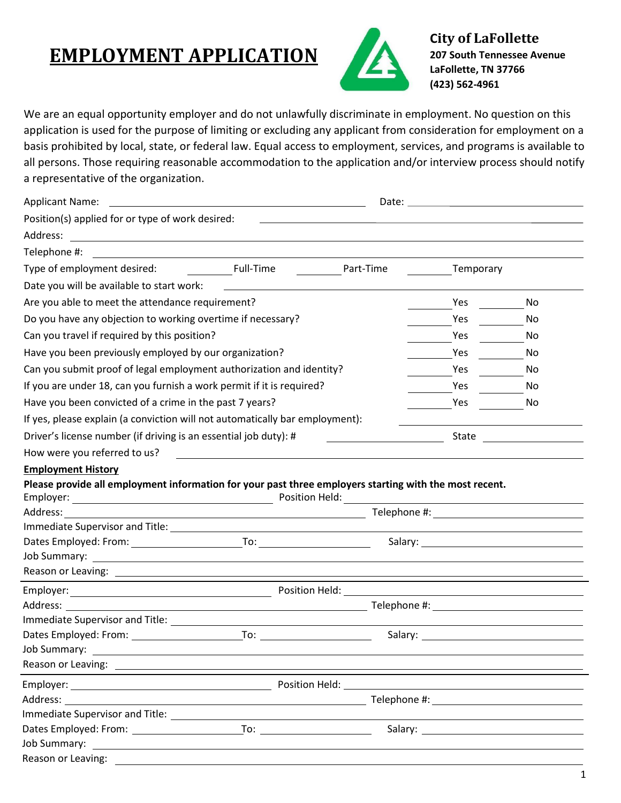## **EMPLOYMENT APPLICATION**



**City of LaFollette 207 South Tennessee Avenue LaFollette, TN 37766 (423) 562-4961**

We are an equal opportunity employer and do not unlawfully discriminate in employment. No question on this application is used for the purpose of limiting or excluding any applicant from consideration for employment on a basis prohibited by local, state, or federal law. Equal access to employment, services, and programs is available to all persons. Those requiring reasonable accommodation to the application and/or interview process should notify a representative of the organization.

| <b>Applicant Name:</b><br><u> 1989 - Johann Stein, mars and de Britain and de Britain and de Britain and de Britain and de Britain and de B</u>                                                                                                                                                           |                                                       |                                                                                                                        |            |     |  |
|-----------------------------------------------------------------------------------------------------------------------------------------------------------------------------------------------------------------------------------------------------------------------------------------------------------|-------------------------------------------------------|------------------------------------------------------------------------------------------------------------------------|------------|-----|--|
| Position(s) applied for or type of work desired:                                                                                                                                                                                                                                                          |                                                       | <u> 1989 - Andrea Station, amerikansk politiker (d. 1989)</u>                                                          |            |     |  |
|                                                                                                                                                                                                                                                                                                           |                                                       |                                                                                                                        |            |     |  |
| Telephone #:                                                                                                                                                                                                                                                                                              |                                                       |                                                                                                                        |            |     |  |
| <b>Example 1</b> Full-Time<br>Type of employment desired:<br>Part-Time                                                                                                                                                                                                                                    |                                                       |                                                                                                                        | Temporary  |     |  |
| Date you will be available to start work:                                                                                                                                                                                                                                                                 | <u> 1989 - Jan Stein Harry Stein Berlin (d. 1989)</u> |                                                                                                                        |            |     |  |
| Are you able to meet the attendance requirement?                                                                                                                                                                                                                                                          |                                                       |                                                                                                                        | <b>Yes</b> | No  |  |
| Do you have any objection to working overtime if necessary?                                                                                                                                                                                                                                               |                                                       |                                                                                                                        | Yes        | No  |  |
| Can you travel if required by this position?                                                                                                                                                                                                                                                              |                                                       |                                                                                                                        | Yes        | No. |  |
| Have you been previously employed by our organization?                                                                                                                                                                                                                                                    |                                                       |                                                                                                                        | Yes        | No. |  |
| Can you submit proof of legal employment authorization and identity?                                                                                                                                                                                                                                      |                                                       |                                                                                                                        | Yes        | No. |  |
| If you are under 18, can you furnish a work permit if it is required?                                                                                                                                                                                                                                     |                                                       |                                                                                                                        | Yes        | No. |  |
| Have you been convicted of a crime in the past 7 years?                                                                                                                                                                                                                                                   |                                                       |                                                                                                                        | Yes        | No. |  |
| If yes, please explain (a conviction will not automatically bar employment):                                                                                                                                                                                                                              |                                                       |                                                                                                                        |            |     |  |
| Driver's license number (if driving is an essential job duty): #                                                                                                                                                                                                                                          |                                                       |                                                                                                                        | State      |     |  |
| How were you referred to us?                                                                                                                                                                                                                                                                              |                                                       | <u> 1989 - Johann Stoff, deutscher Stoffen und der Stoffen und der Stoffen und der Stoffen und der Stoffen und der</u> |            |     |  |
| <b>Employment History</b>                                                                                                                                                                                                                                                                                 |                                                       |                                                                                                                        |            |     |  |
| Please provide all employment information for your past three employers starting with the most recent.                                                                                                                                                                                                    |                                                       |                                                                                                                        |            |     |  |
|                                                                                                                                                                                                                                                                                                           |                                                       |                                                                                                                        |            |     |  |
| Address:                                                                                                                                                                                                                                                                                                  |                                                       |                                                                                                                        |            |     |  |
| Immediate Supervisor and Title: _______________                                                                                                                                                                                                                                                           |                                                       |                                                                                                                        |            |     |  |
|                                                                                                                                                                                                                                                                                                           |                                                       |                                                                                                                        |            |     |  |
|                                                                                                                                                                                                                                                                                                           |                                                       |                                                                                                                        |            |     |  |
|                                                                                                                                                                                                                                                                                                           |                                                       |                                                                                                                        |            |     |  |
|                                                                                                                                                                                                                                                                                                           |                                                       |                                                                                                                        |            |     |  |
|                                                                                                                                                                                                                                                                                                           |                                                       |                                                                                                                        |            |     |  |
| Immediate Supervisor and Title: Note that the state of the state of the state of the state of the state of the                                                                                                                                                                                            |                                                       |                                                                                                                        |            |     |  |
| Job Summary: ____                                                                                                                                                                                                                                                                                         |                                                       |                                                                                                                        |            |     |  |
|                                                                                                                                                                                                                                                                                                           |                                                       |                                                                                                                        |            |     |  |
|                                                                                                                                                                                                                                                                                                           |                                                       |                                                                                                                        |            |     |  |
|                                                                                                                                                                                                                                                                                                           |                                                       |                                                                                                                        |            |     |  |
| Address:<br><u> 1989 - Johann Stoff, Amerikaansk politiker († 1908)</u><br>Immediate Supervisor and Title: National Action of the Contract of the Contract of the Contract of the Contract of the Contract of the Contract of the Contract of the Contract of the Contract of the Contract of the Contrac |                                                       |                                                                                                                        |            |     |  |
|                                                                                                                                                                                                                                                                                                           |                                                       |                                                                                                                        |            |     |  |
|                                                                                                                                                                                                                                                                                                           |                                                       |                                                                                                                        |            |     |  |
| Reason or Leaving:                                                                                                                                                                                                                                                                                        |                                                       |                                                                                                                        |            |     |  |